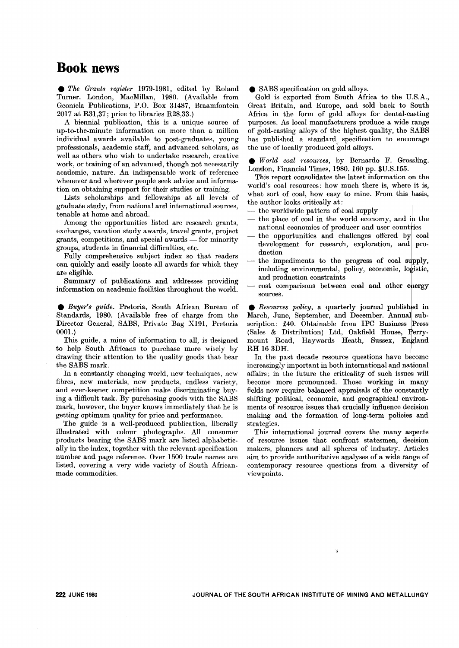## **Book news**

. *The Grants register* 1979-1981, edited by Roland Turner. London, MacMillan, 1980. (Available from Geonicla Publications, P.O. Box 31487, Braamfontein 2017 at R31,37; price to libraries R28,33.)

A biennial publication, this is a unique source of up-to-the-minute information on more than a million individual awards available to post-graduates, young professionals, academic staff, and advanced scholars, as well as others who wish to undertake research, creative work, or training of an advanced, though not necessarily academic, nature. An indispensable work of reference whenever and wherever people seek advice and information on obtaining support for their studies or training.

Lists scholarships and fellowships at all levels of graduate study, from national and international sources, tenable at home and abroad.

Among the opportunities listed are research grants, exchanges, vacation study awards, travel grants, project grants, competitions, and special awards — for minorit groups, students in financial difficulties, etc.

Fully comprehensive subject index so that readers can quickly and easily locate all awards for which they are eligible.

Summary of publications and addresses providing information on academic facilities throughout the world.

. *Buyer's guide.* Pretoria, South African Bureau of Standards, 1980. (Available free of charge from the Director General, SABS, Private Bag X191, Pretoria 0001.)

This guide, a mine of information to all, is designed to help South Africans to purchase more wisely by drawing their attention to the quality goods that bear the SABS mark.

In a constantly changing world, new techniques, new fibres, new materials, new products, endless variety, and ever-keener competition make discriminating buying a difficult task. By purchasing goods with the SABS mark, however, the buyer knows immediately that he is getting optimum quality for price and performance.

The guide is a well-produced publication, liberally illustrated with colour photographs. All consumer products bearing the SABS mark are listed alphabetically in the index, together with the relevant specification number and page reference. Over 1500 trade names are listed, covering a very wide variety of South Africanmade commodities.

• SABS specification on gold alloys.

Gold is exported from South Africa to the D.S.A., Great Britain, and Europe, and sold back to South Africa in the form of gold alloys for dental-casting purposes. As local manufacturers produce a wide range of gold-casting alloys of the highest quality, the SABS has published a standard. specification to encourage the use of locally produced gold alloys.

. *World coal resources,* by Bernardo F. Grossling. London, Financial Times, 1980. 160 pp. \$D.S.155.

This report consolidates the latest information on the world's coal resources: how much there is, where it is, what sort of coal, how easy to mine. From this basis, the author looks critically at:

- the worldwide pattern of coal supply
- $-$  the place of coal in the world economy, and in the national economies of producer and user countries
- the opportunities and challenges offered by coal development for research, exploration, and production
- the impediments to the progress of coal supply, including environmental, policy, economic, logistic, and production constraints
- cost comparisons between coal and other energy sources.

• *Resources policy*, a quarterly journal published in March, June, September, and December. Annual subscription: £40. Obtainable from IPC Business Press  $(Sales & Distribution)$  Ltd, Oakfield House, Perrymount Road, Haywards Heath, Sussex, England RH 16 3DH.

In the past decade resource questions have become increasingly important in both international and national affairs; in the future the criticality of such issues will become more pronounced. Those working in many fields now require balanced appraisals of the constantly shifting political, economic, and geographical environments of resource issues that crucially influence decision making and the formation of long-term policies and strategies.

This international journal covers the many aspects of resource issues that confront statesmen, decision makers, planners and all spheres of industry. Articles aim to provide authoritative analyses of a wide range of contemporary resource questions from a diversity of viewpoints.

4